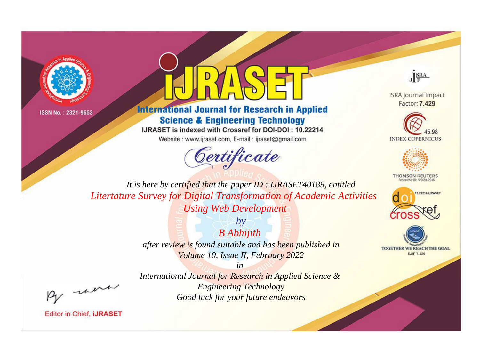



**International Journal for Research in Applied Science & Engineering Technology** 

IJRASET is indexed with Crossref for DOI-DOI: 10.22214

Website: www.ijraset.com, E-mail: ijraset@gmail.com





**ISRA Journal Impact** Factor: 7.429





**THOMSON REUTERS** 



TOGETHER WE REACH THE GOAL **SJIF 7.429** 

*It is here by certified that the paper ID : IJRASET40189, entitled Litertature Survey for Digital Transformation of Academic Activities Using Web Development*

> *by B Abhijith after review is found suitable and has been published in Volume 10, Issue II, February 2022*

> > *in*

*International Journal for Research in Applied Science & Engineering Technology Good luck for your future endeavors*

, un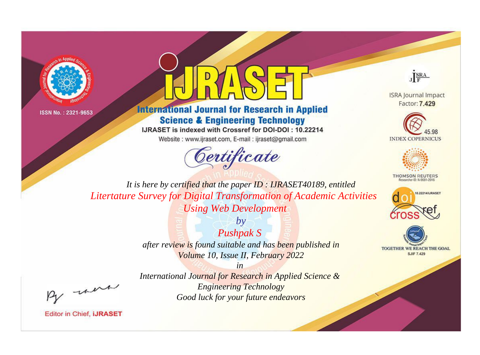



**International Journal for Research in Applied Science & Engineering Technology** 

IJRASET is indexed with Crossref for DOI-DOI: 10.22214

Website: www.ijraset.com, E-mail: ijraset@gmail.com



JERA

**ISRA Journal Impact** Factor: 7.429





**THOMSON REUTERS** 



TOGETHER WE REACH THE GOAL **SJIF 7.429** 

It is here by certified that the paper ID: IJRASET40189, entitled Litertature Survey for Digital Transformation of Academic Activities **Using Web Development** 

> $by$ **Pushpak S** after review is found suitable and has been published in Volume 10, Issue II, February 2022

were

International Journal for Research in Applied Science & **Engineering Technology** Good luck for your future endeavors

 $in$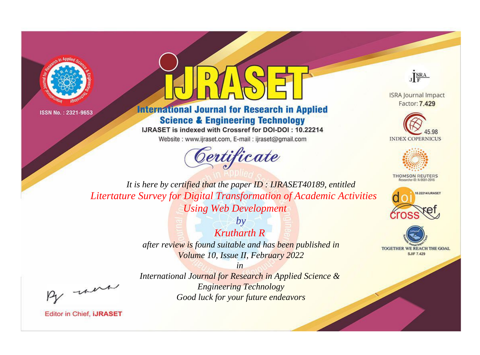



**International Journal for Research in Applied Science & Engineering Technology** 

IJRASET is indexed with Crossref for DOI-DOI: 10.22214

Website: www.ijraset.com, E-mail: ijraset@gmail.com



JERA

**ISRA Journal Impact** Factor: 7.429





**THOMSON REUTERS** 



TOGETHER WE REACH THE GOAL **SJIF 7.429** 

It is here by certified that the paper ID: IJRASET40189, entitled Litertature Survey for Digital Transformation of Academic Activities **Using Web Development** 

> $b\nu$  $Krutharth$   $R$ after review is found suitable and has been published in Volume 10, Issue II, February 2022

were

International Journal for Research in Applied Science & **Engineering Technology** Good luck for your future endeavors

 $in$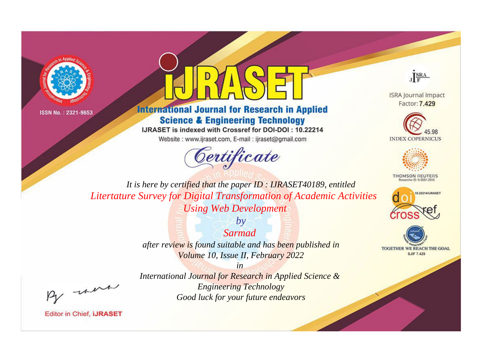



**International Journal for Research in Applied Science & Engineering Technology** 

IJRASET is indexed with Crossref for DOI-DOI: 10.22214

Website: www.ijraset.com, E-mail: ijraset@gmail.com



JERA

**ISRA Journal Impact** Factor: 7.429





**THOMSON REUTERS** 



TOGETHER WE REACH THE GOAL **SJIF 7.429** 

*It is here by certified that the paper ID : IJRASET40189, entitled Litertature Survey for Digital Transformation of Academic Activities Using Web Development*

> *Sarmad after review is found suitable and has been published in Volume 10, Issue II, February 2022*

> > *in*

*by*

, un

*International Journal for Research in Applied Science & Engineering Technology Good luck for your future endeavors*